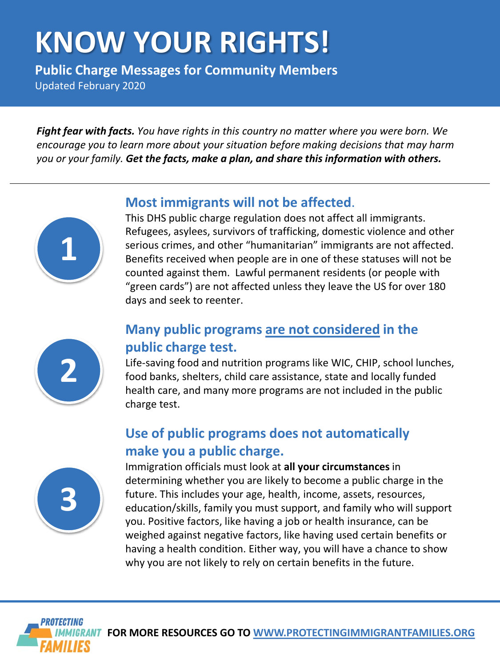# **KNOW YOUR RIGHTS!**

**Public Charge Messages for Community Members** Updated February 2020

*Fight fear with facts. You have rights in this country no matter where you were born. We encourage you to learn more about your situation before making decisions that may harm you or your family. Get the facts, make a plan, and share this information with others.*



Refugees, asylees, survivors of trafficking, domestic violence and other serious crimes, and other "humanitarian" immigrants are not affected. Benefits received when people are in one of these statuses will not be counted against them. Lawful permanent residents (or people with "green cards") are not affected unless they leave the US for over 180 days and seek to reenter.



**1**

#### **Many public programs are not considered in the public charge test.**

Life-saving food and nutrition programs like WIC, CHIP, school lunches, food banks, shelters, child care assistance, state and locally funded health care, and many more programs are not included in the public charge test.

#### **Use of public programs does not automatically make you a public charge.**



Immigration officials must look at **all your circumstances**in determining whether you are likely to become a public charge in the future. This includes your age, health, income, assets, resources, education/skills, family you must support, and family who will support you. Positive factors, like having a job or health insurance, can be weighed against negative factors, like having used certain benefits or having a health condition. Either way, you will have a chance to show why you are not likely to rely on certain benefits in the future.



**FOR MORE RESOURCES GO TO [WWW.PROTECTINGIMMIGRANTFAMILIES.ORG](http://www.protectingimmigrantfamilies.org/)**